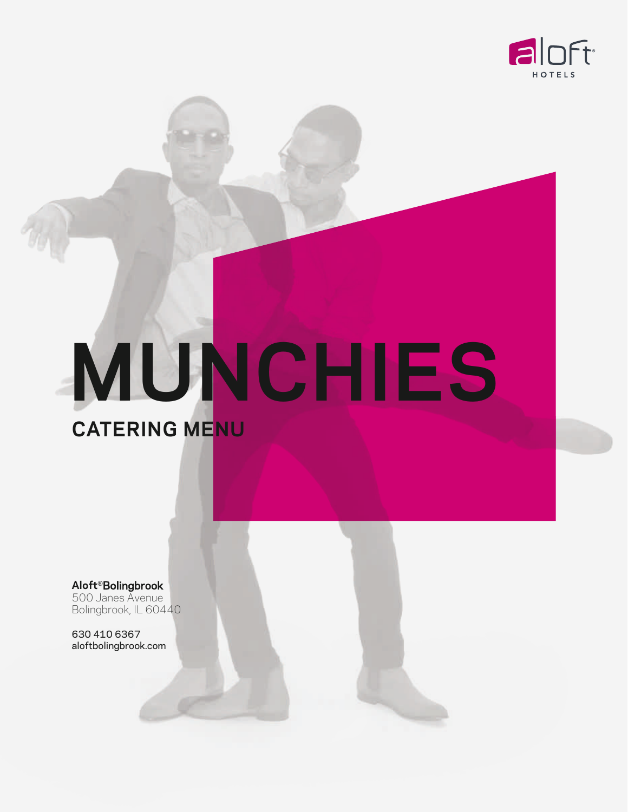

# **MUNCHIES**

**Aloft**®Bolingbrook 500 Janes Avenue Bolingbrook, IL 60440

**CATERING MENU** 

630 410 6367 aloftbolingbrook.com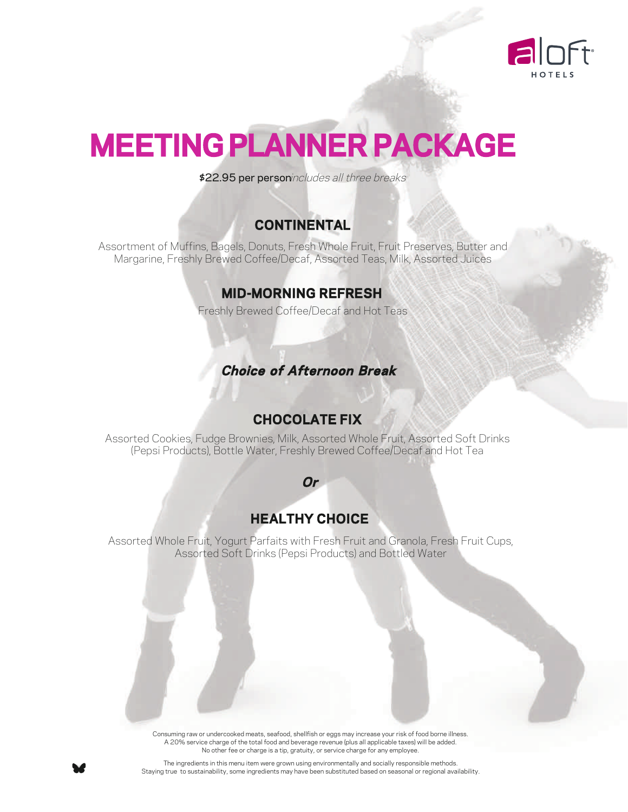

## **MEETING PLANNER PACKAGE**

\$22.95 per personincludes all three breaks

#### **CONTINENTAL**

Assortment of Muffins, Bagels, Donuts, Fresh Whole Fruit, Fruit Preserves, Butter and Margarine, Freshly Brewed Coffee/Decaf, Assorted Teas, Milk, Assorted Juices

#### **MID-MORNING REFRESH**

Freshly Brewed Coffee/Decaf and Hot Teas

#### **Choice of Afternoon Break**

#### **CHOCOLATE FIX**

Assorted Cookies, Fudge Brownies, Milk, Assorted Whole Fruit, Assorted Soft Drinks (Pepsi Products), Bottle Water, Freshly Brewed Coffee/Decaf and Hot Tea

#### **Or**

#### **HEALTHY CHOICE**

Assorted Whole Fruit, Yogurt Parfaits with Fresh Fruit and Granola, Fresh Fruit Cups, Assorted Soft Drinks (Pepsi Products) and Bottled Water

> Consuming raw or undercooked meats, seafood, shellfish or eggs may increase your risk of food borne illness. A 20% service charge of the total food and beverage revenue (plus all applicable taxes) will be added. No other fee or charge is a tip, gratuity, or service charge for any employee.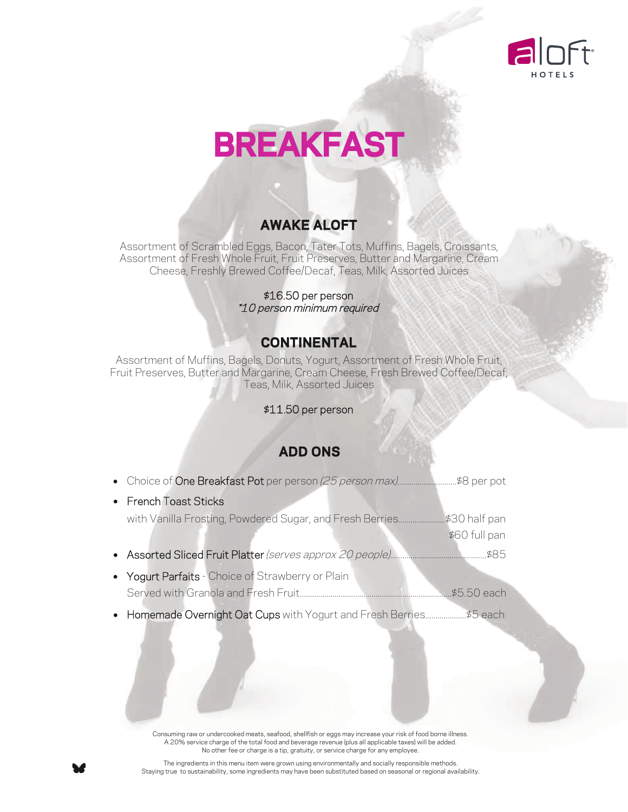

## **BREAKFAST**

#### **AWAKE ALOFT**

Assortment of Scrambled Eggs, Bacon, Tater Tots, Muffins, Bagels, Croissants, Assortment of Fresh Whole Fruit, Fruit Preserves, Butter and Margarine, Cream Cheese, Freshly Brewed Coffee/Decaf, Teas, Milk, Assorted Juices

> \$16.50 per person \*10 person minimum required

#### **CONTINENTAL**

Assortment of Muffins, Bagels, Donuts, Yogurt, Assortment of Fresh Whole Fruit, Fruit Preserves, Butter and Margarine, Cream Cheese, Fresh Brewed Coffee/Decaf, Teas, Milk, Assorted Juices

#### \$11.50 per person

#### **ADD ONS**

| • French Toast Sticks                                    |                                 |  |
|----------------------------------------------------------|---------------------------------|--|
| with Vanilla Frosting, Powdered Sugar, and Fresh Berries | .\$30 half pan<br>\$60 full pan |  |
|                                                          |                                 |  |
| • Yogurt Parfaits - Choice of Strawberry or Plain        |                                 |  |
|                                                          |                                 |  |

Consuming raw or undercooked meats, seafood, shellfish or eggs may increase your risk of food borne illness. A 20% service charge of the total food and beverage revenue (plus all applicable taxes) will be added. No other fee or charge is a tip, gratuity, or service charge for any employee.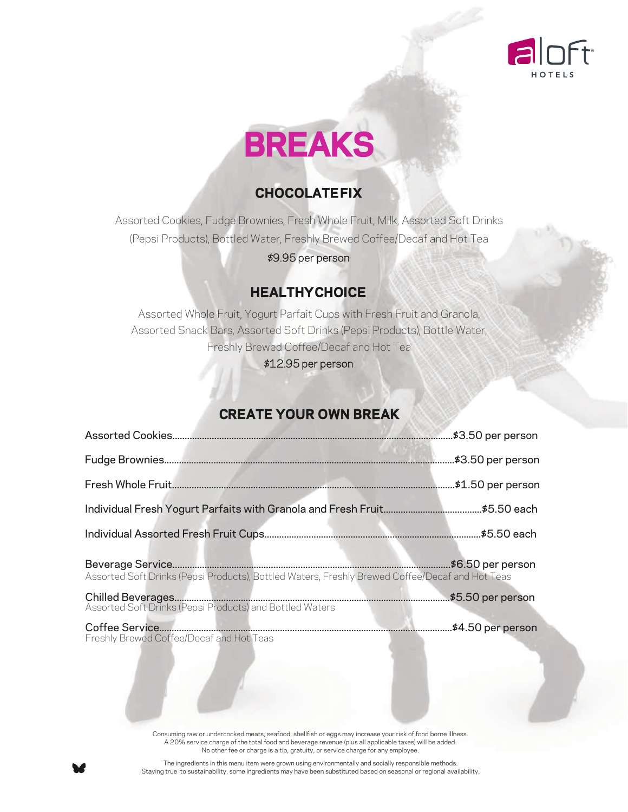



#### **CHOCOLATEFIX**

Assorted Cookies, Fudge Brownies, Fresh Whole Fruit, Milk, Assorted Soft Drinks (Pepsi Products), Bottled Water, Freshly Brewed Coffee/Decaf and Hot Tea

\$9.95 per person

#### **HEALTHYCHOICE**

Assorted Whole Fruit, Yogurt Parfait Cups with Fresh Fruit and Granola, Assorted Snack Bars, Assorted Soft Drinks (Pepsi Products), Bottle Water, Freshly Brewed Coffee/Decaf and Hot Tea

\$12.95 per person

#### **CREATE YOUR OWN BREAK**

|                                                                                                                      | .\$3.50 per person |  |
|----------------------------------------------------------------------------------------------------------------------|--------------------|--|
|                                                                                                                      | .\$1.50 per person |  |
|                                                                                                                      |                    |  |
|                                                                                                                      |                    |  |
| \$6.50 per person<br>Assorted Soft Drinks (Pepsi Products), Bottled Waters, Freshly Brewed Coffee/Decaf and Hot Teas |                    |  |
|                                                                                                                      | \$5.50 per person  |  |
|                                                                                                                      | .\$4.50 per person |  |

Consuming raw or undercooked meats, seafood, shellfish or eggs may increase your risk of food borne illness. A 20% service charge of the total food and beverage revenue (plus all applicable taxes) will be added. No other fee or charge is a tip, gratuity, or service charge for any employee.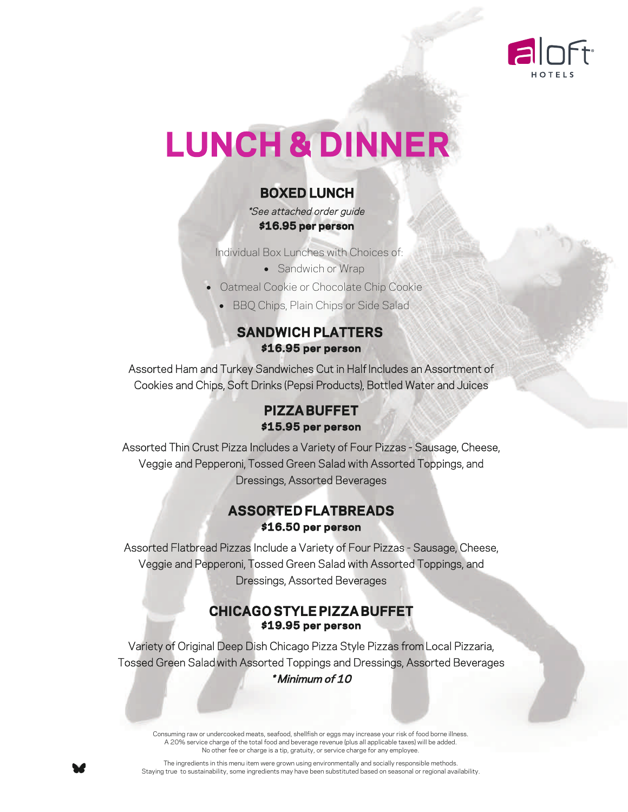

# **LUNCH & DINNER**

#### **BOXED LUNCH**

 \*See attached order guide  **\$16.95 per person**

Individual Box Lunches with Choices of:

• Sandwich or Wrap

- Oatmeal Cookie or Chocolate Chip Cookie
	- BBQ Chips, Plain Chips or Side Salad

#### **SANDWICH PLATTERS \$16.95 per person**

Assorted Ham and Turkey Sandwiches Cut in Half Includes an Assortment of Cookies and Chips, Soft Drinks (Pepsi Products), Bottled Water and Juices

#### **PIZZA BUFFET \$15.95 per person**

Assorted Thin Crust Pizza Includes a Variety of Four Pizzas - Sausage, Cheese, Veggie and Pepperoni, Tossed Green Salad with Assorted Toppings, and Dressings, Assorted Beverages

#### **ASSORTED FLATBREADS \$16.50 per person**

Assorted Flatbread Pizzas Include a Variety of Four Pizzas - Sausage, Cheese, Veggie and Pepperoni, Tossed Green Salad with Assorted Toppings, and Dressings, Assorted Beverages

#### **CHICAGO STYLE PIZZA BUFFET \$19.95 per person**

Variety of Original Deep Dish Chicago Pizza Style Pizzas from Local Pizzaria, Tossed Green Salad with Assorted Toppings and Dressings, Assorted Beverages \* Minimum of 10

Consuming raw or undercooked meats, seafood, shellfish or eggs may increase your risk of food borne illness. A 20% service charge of the total food and beverage revenue (plus all applicable taxes) will be added. No other fee or charge is a tip, gratuity, or service charge for any employee.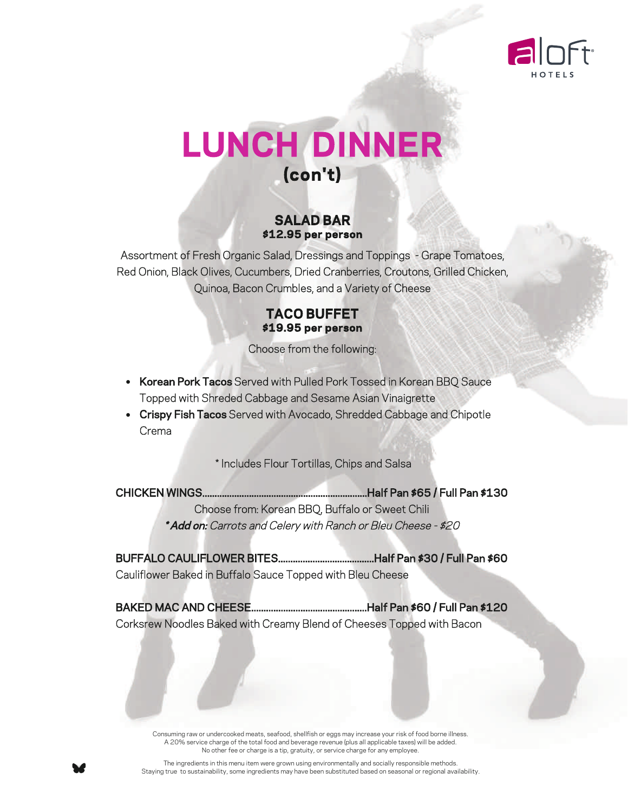

## **LUNCH DINNER (con't)**

#### **SALAD BAR \$12.95 per person**

Assortment of Fresh Organic Salad, Dressings and Toppings - Grape Tomatoes, Red Onion, Black Olives, Cucumbers, Dried Cranberries, Croutons, Grilled Chicken, Quinoa, Bacon Crumbles, and a Variety of Cheese

#### **TACO BUFFET \$19.95 per person**

Choose from the following:

- Korean Pork Tacos Served with Pulled Pork Tossed in Korean BBQ Sauce Topped with Shreded Cabbage and Sesame Asian Vinaigrette
- Crispy Fish Tacos Served with Avocado, Shredded Cabbage and Chipotle Crema

\* Includes Flour Tortillas, Chips and Salsa

CHICKEN WINGS...................................................................Half Pan \$65 / Full Pan \$130 Choose from: Korean BBQ, Buffalo or Sweet Chili \* Add on: Carrots and Celery with Ranch or Bleu Cheese - \$20

BUFFALO CAULIFLOWER BITES.......................................Half Pan \$30 / Full Pan \$60 Cauliflower Baked in Buffalo Sauce Topped with Bleu Cheese

BAKED MAC AND CHEESE...............................................Half Pan \$60 / Full Pan \$120 Corksrew Noodles Baked with Creamy Blend of Cheeses Topped with Bacon

Consuming raw or undercooked meats, seafood, shellfsh or eggs may increase your risk of food borne illness. A 20% service charge of the total food and beverage revenue (plus all applicable taxes) will be added. No other fee or charge is a tip, gratuity, or service charge for any employee.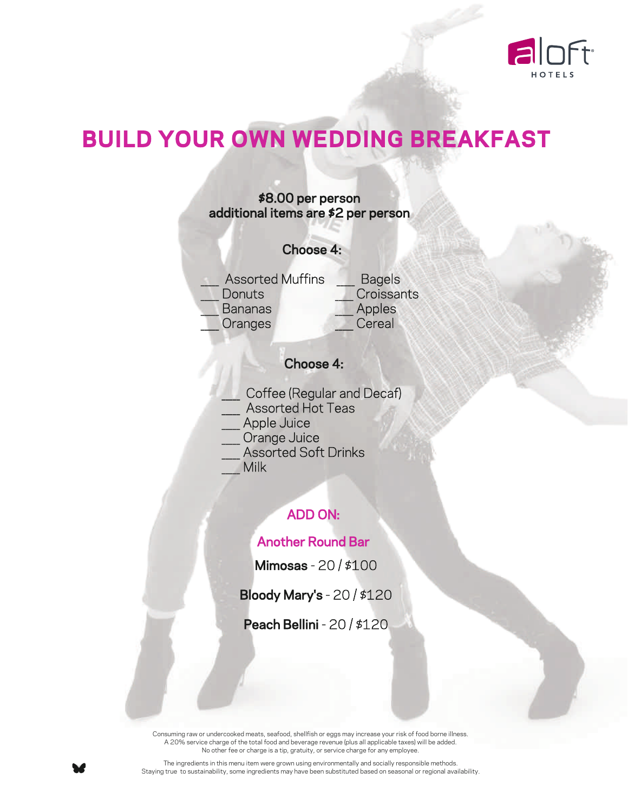

## **BUILD YOUR OWN WEDDING BREAKFAST**



#### Choose 4:

- Coffee (Regular and Decaf)
- Assorted Hot Teas
- Apple Juice
- Orange Juice
- Assorted Soft Drinks
- \_\_\_\_\_ Milk

#### ADD ON:

#### Another Round Bar

Mimosas - 20 / \$100

Bloody Mary's - 20 / \$120

Peach Bellini - 20 / \$120

Consuming raw or undercooked meats, seafood, shellfsh or eggs may increase your risk of food borne illness. A 20% service charge of the total food and beverage revenue (plus all applicable taxes) will be added. No other fee or charge is a tip, gratuity, or service charge for any employee.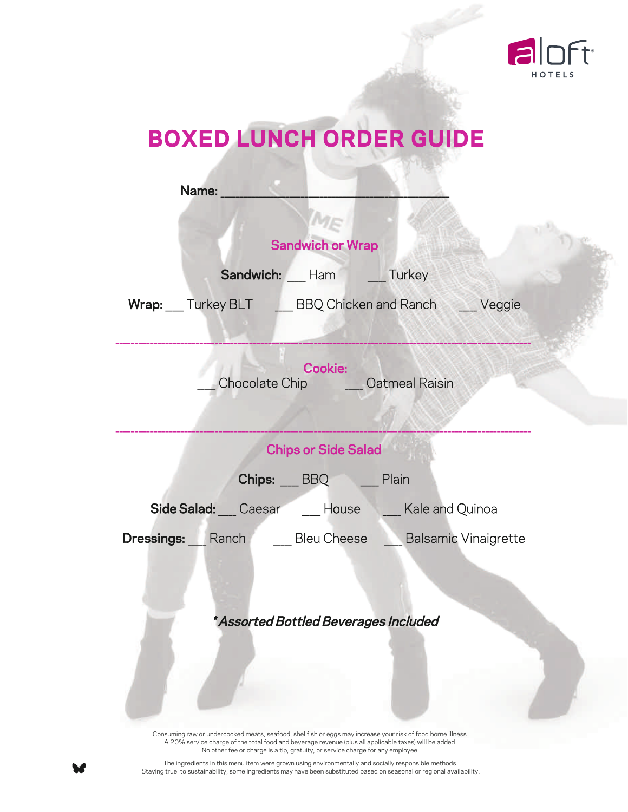

## **BOXED LUNCH ORDER GUIDE**

| Name:                                                                                                                                                                                                                                                           |
|-----------------------------------------------------------------------------------------------------------------------------------------------------------------------------------------------------------------------------------------------------------------|
|                                                                                                                                                                                                                                                                 |
| <b>Sandwich or Wrap</b>                                                                                                                                                                                                                                         |
| Sandwich: Ham Turkey                                                                                                                                                                                                                                            |
| Wrap: Turkey BLT ____ BBQ Chicken and Ranch ____ Veggie                                                                                                                                                                                                         |
| Cookie:<br>Chocolate Chip ______ Oatmeal Raisin                                                                                                                                                                                                                 |
| <b>Chips or Side Salad</b>                                                                                                                                                                                                                                      |
| Chips: BBQ Plain                                                                                                                                                                                                                                                |
| Side Salad: Caesar Manubuse Male and Quinoa                                                                                                                                                                                                                     |
| <b>Dressings:</b> Ranch Bleu Cheese Balsamic Vinaigrette                                                                                                                                                                                                        |
| * Assorted Bottled Beverages Included<br>Consuming raw or undercooked meats, seafood, shellfish or eggs may increase your risk of food borne illness.<br>A 20% service charge of the total food and beverage revenue (plus all applicable taxes) will be added. |

No other fee or charge is a tip, gratuity, or service charge for any employee. The ingredients in this menu item were grown using environmentally and socially responsible methods.

Staying true to sustainability, some ingredients may have been substituted based on seasonal or regional availability.

¥